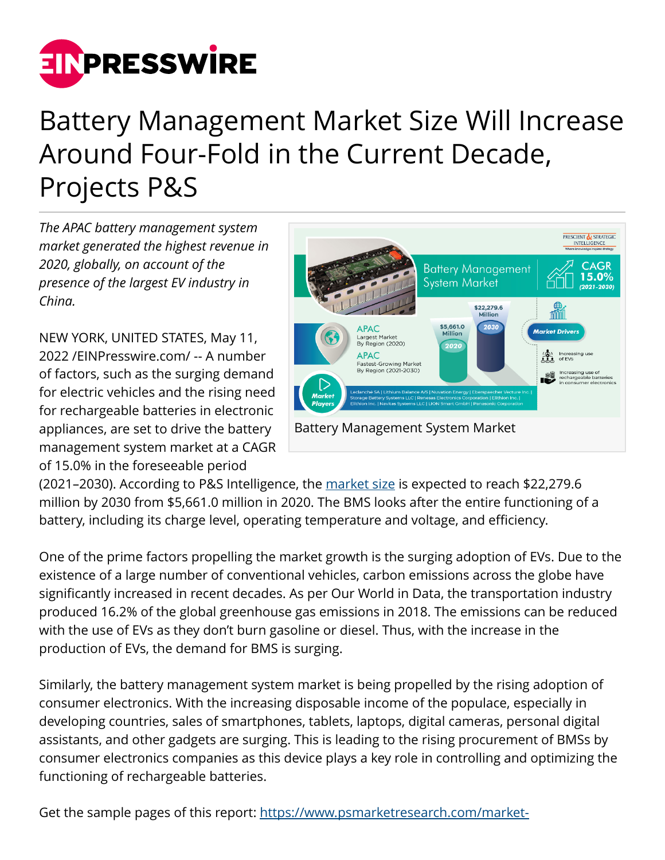

## Battery Management Market Size Will Increase Around Four-Fold in the Current Decade, Projects P&S

*The APAC battery management system market generated the highest revenue in 2020, globally, on account of the presence of the largest EV industry in China.*

NEW YORK, UNITED STATES, May 11, 2022 /[EINPresswire.com](http://www.einpresswire.com)/ -- A number of factors, such as the surging demand for electric vehicles and the rising need for rechargeable batteries in electronic appliances, are set to drive the battery management system market at a CAGR of 15.0% in the foreseeable period



(2021–2030). According to P&S Intelligence, the [market size](https://www.psmarketresearch.com/market-analysis/battery-management-system-market?utm_source=EIN&utm_medium=referral&utm_campaign=EIN_Paid) is expected to reach \$22,279.6 million by 2030 from \$5,661.0 million in 2020. The BMS looks after the entire functioning of a battery, including its charge level, operating temperature and voltage, and efficiency.

One of the prime factors propelling the market growth is the surging adoption of EVs. Due to the existence of a large number of conventional vehicles, carbon emissions across the globe have significantly increased in recent decades. As per Our World in Data, the transportation industry produced 16.2% of the global greenhouse gas emissions in 2018. The emissions can be reduced with the use of EVs as they don't burn gasoline or diesel. Thus, with the increase in the production of EVs, the demand for BMS is surging.

Similarly, the battery management system market is being propelled by the rising adoption of consumer electronics. With the increasing disposable income of the populace, especially in developing countries, sales of smartphones, tablets, laptops, digital cameras, personal digital assistants, and other gadgets are surging. This is leading to the rising procurement of BMSs by consumer electronics companies as this device plays a key role in controlling and optimizing the functioning of rechargeable batteries.

Get the sample pages of this report: [https://www.psmarketresearch.com/market-](https://www.psmarketresearch.com/market-analysis/battery-management-system-market/report-sample)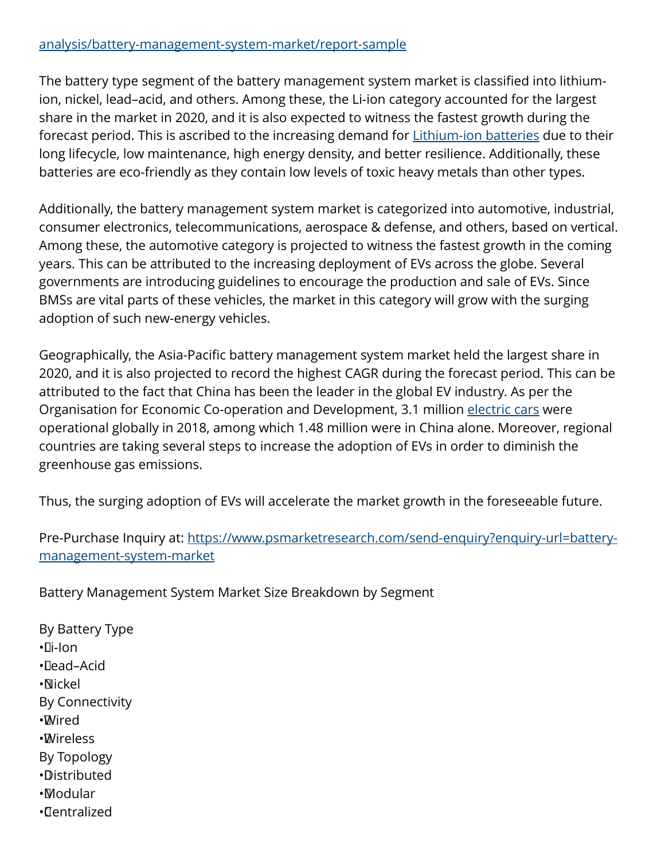## [analysis/battery-management-system-market/report-sample](https://www.psmarketresearch.com/market-analysis/battery-management-system-market/report-sample)

The battery type segment of the battery management system market is classified into lithiumion, nickel, lead–acid, and others. Among these, the Li-ion category accounted for the largest share in the market in 2020, and it is also expected to witness the fastest growth during the forecast period. This is ascribed to the increasing demand for [Lithium-ion batteries](https://www.psmarketresearch.com/market-analysis/lithium-ion-battery-market?utm_source=EIN&utm_medium=referral&utm_campaign=EIN_Paid) due to their long lifecycle, low maintenance, high energy density, and better resilience. Additionally, these batteries are eco-friendly as they contain low levels of toxic heavy metals than other types.

Additionally, the battery management system market is categorized into automotive, industrial, consumer electronics, telecommunications, aerospace & defense, and others, based on vertical. Among these, the automotive category is projected to witness the fastest growth in the coming years. This can be attributed to the increasing deployment of EVs across the globe. Several governments are introducing guidelines to encourage the production and sale of EVs. Since BMSs are vital parts of these vehicles, the market in this category will grow with the surging adoption of such new-energy vehicles.

Geographically, the Asia-Pacific battery management system market held the largest share in 2020, and it is also projected to record the highest CAGR during the forecast period. This can be attributed to the fact that China has been the leader in the global EV industry. As per the Organisation for Economic Co-operation and Development, 3.1 million [electric cars](https://www.psmarketresearch.com/market-analysis/electric-car-market?utm_source=EIN&utm_medium=referral&utm_campaign=EIN_Paid) were operational globally in 2018, among which 1.48 million were in China alone. Moreover, regional countries are taking several steps to increase the adoption of EVs in order to diminish the greenhouse gas emissions.

Thus, the surging adoption of EVs will accelerate the market growth in the foreseeable future.

Pre-Purchase Inquiry at: [https://www.psmarketresearch.com/send-enquiry?enquiry-url=battery](https://www.psmarketresearch.com/send-enquiry?enquiry-url=battery-management-system-market)[management-system-market](https://www.psmarketresearch.com/send-enquiry?enquiry-url=battery-management-system-market)

Battery Management System Market Size Breakdown by Segment

By Battery Type • Li-Ion • Lead–Acid • Nickel By Connectivity • Wired • Wireless By Topology • Distributed • Modular • Centralized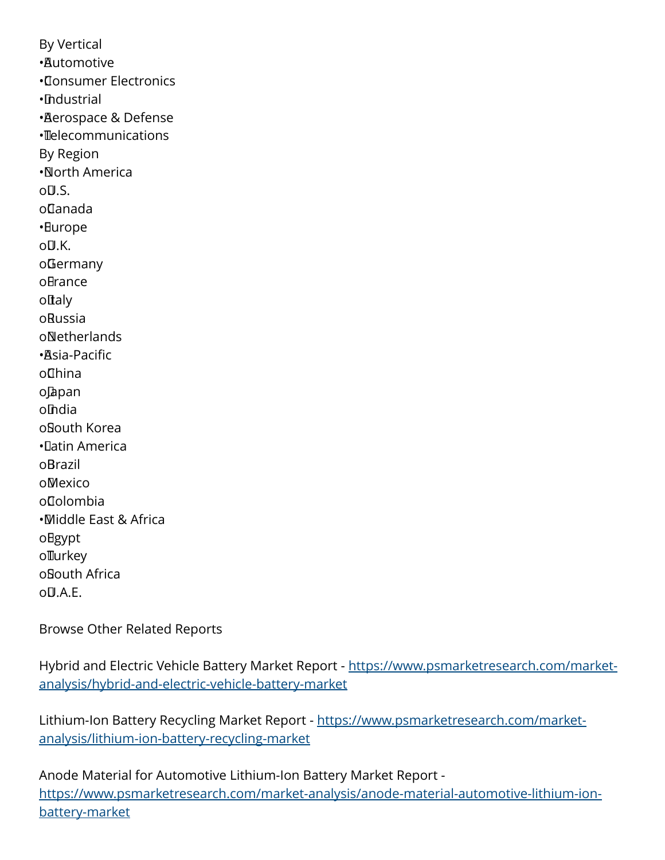By Vertical • Automotive • Consumer Electronics • Industrial • Aerospace & Defense • Telecommunications By Region • North America o<sub>U.S.</sub> o Canada • Europe o**U.K.** o Germany oBrance oftaly o Russia o Netherlands • Asia-Pacific o China o Japan o India o South Korea • Latin America o Brazil o Mexico o Colombia • Middle East & Africa oBgypt ollurkey o South Africa  $O(1.4.5)$ 

Browse Other Related Reports

Hybrid and Electric Vehicle Battery Market Report - [https://www.psmarketresearch.com/market](https://www.psmarketresearch.com/market-analysis/hybrid-and-electric-vehicle-battery-market)[analysis/hybrid-and-electric-vehicle-battery-market](https://www.psmarketresearch.com/market-analysis/hybrid-and-electric-vehicle-battery-market)

Lithium-Ion Battery Recycling Market Report - [https://www.psmarketresearch.com/market](https://www.psmarketresearch.com/market-analysis/lithium-ion-battery-recycling-market)[analysis/lithium-ion-battery-recycling-market](https://www.psmarketresearch.com/market-analysis/lithium-ion-battery-recycling-market)

Anode Material for Automotive Lithium-Ion Battery Market Report [https://www.psmarketresearch.com/market-analysis/anode-material-automotive-lithium-ion](https://www.psmarketresearch.com/market-analysis/anode-material-automotive-lithium-ion-battery-market)[battery-market](https://www.psmarketresearch.com/market-analysis/anode-material-automotive-lithium-ion-battery-market)